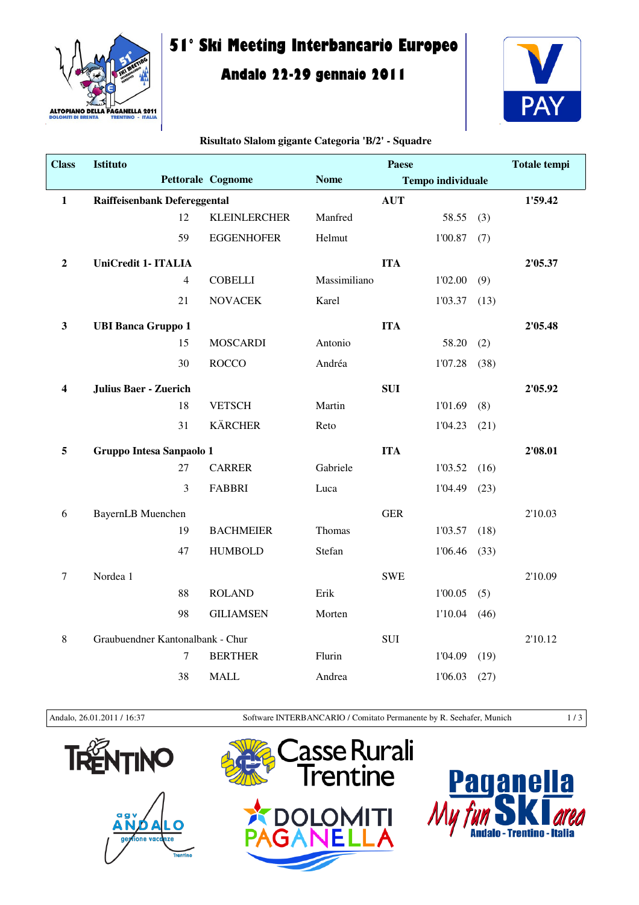

# **51° Ski Meeting Interbancario Europeo**

# **Andalo 22-29 gennaio 2011**



#### **Risultato Slalom gigante Categoria 'B/2' - Squadre**

| <b>Class</b>            | <b>Istituto</b>                  | <b>Paese</b>        |              |                          |         | <b>Totale tempi</b> |         |
|-------------------------|----------------------------------|---------------------|--------------|--------------------------|---------|---------------------|---------|
|                         |                                  | Pettorale Cognome   | <b>Nome</b>  | <b>Tempo individuale</b> |         |                     |         |
| $\mathbf{1}$            | Raiffeisenbank Defereggental     |                     |              | <b>AUT</b>               |         |                     | 1'59.42 |
|                         | 12                               | <b>KLEINLERCHER</b> | Manfred      |                          | 58.55   | (3)                 |         |
|                         | 59                               | <b>EGGENHOFER</b>   | Helmut       |                          | 1'00.87 | (7)                 |         |
| $\boldsymbol{2}$        | <b>UniCredit 1- ITALIA</b>       |                     |              | <b>ITA</b>               |         |                     | 2'05.37 |
|                         | $\overline{4}$                   | <b>COBELLI</b>      | Massimiliano |                          | 1'02.00 | (9)                 |         |
|                         | 21                               | <b>NOVACEK</b>      | Karel        |                          | 1'03.37 | (13)                |         |
| $\mathbf{3}$            | <b>UBI Banca Gruppo 1</b>        |                     |              | <b>ITA</b>               |         |                     | 2'05.48 |
|                         | 15                               | <b>MOSCARDI</b>     | Antonio      |                          | 58.20   | (2)                 |         |
|                         | 30                               | <b>ROCCO</b>        | Andréa       |                          | 1'07.28 | (38)                |         |
| $\overline{\mathbf{4}}$ | <b>Julius Baer - Zuerich</b>     |                     |              | <b>SUI</b>               |         |                     | 2'05.92 |
|                         | 18                               | <b>VETSCH</b>       | Martin       |                          | 1'01.69 | (8)                 |         |
|                         | 31                               | <b>KÄRCHER</b>      | Reto         |                          | 1'04.23 | (21)                |         |
| 5                       | Gruppo Intesa Sanpaolo 1         |                     |              | <b>ITA</b>               |         |                     | 2'08.01 |
|                         | 27                               | <b>CARRER</b>       | Gabriele     |                          | 1'03.52 | (16)                |         |
|                         | 3                                | <b>FABBRI</b>       | Luca         |                          | 1'04.49 | (23)                |         |
| 6                       | <b>BayernLB</b> Muenchen         |                     |              | <b>GER</b>               |         |                     | 2'10.03 |
|                         | 19                               | <b>BACHMEIER</b>    | Thomas       |                          | 1'03.57 | (18)                |         |
|                         | 47                               | <b>HUMBOLD</b>      | Stefan       |                          | 1'06.46 | (33)                |         |
| $\tau$                  | Nordea 1                         |                     |              | <b>SWE</b>               |         |                     | 2'10.09 |
|                         | 88                               | <b>ROLAND</b>       | Erik         |                          | 1'00.05 | (5)                 |         |
|                         | 98                               | <b>GILIAMSEN</b>    | Morten       |                          | 1'10.04 | (46)                |         |
| $\,8\,$                 | Graubuendner Kantonalbank - Chur |                     |              | <b>SUI</b>               |         |                     | 2'10.12 |
|                         | $\overline{7}$                   | <b>BERTHER</b>      | Flurin       |                          | 1'04.09 | (19)                |         |
|                         | 38                               | <b>MALL</b>         | Andrea       |                          | 1'06.03 | (27)                |         |

Andalo, 26.01.2011 / 16:37 Software INTERBANCARIO / Comitato Permanente by R. Seehafer, Munich 1/3







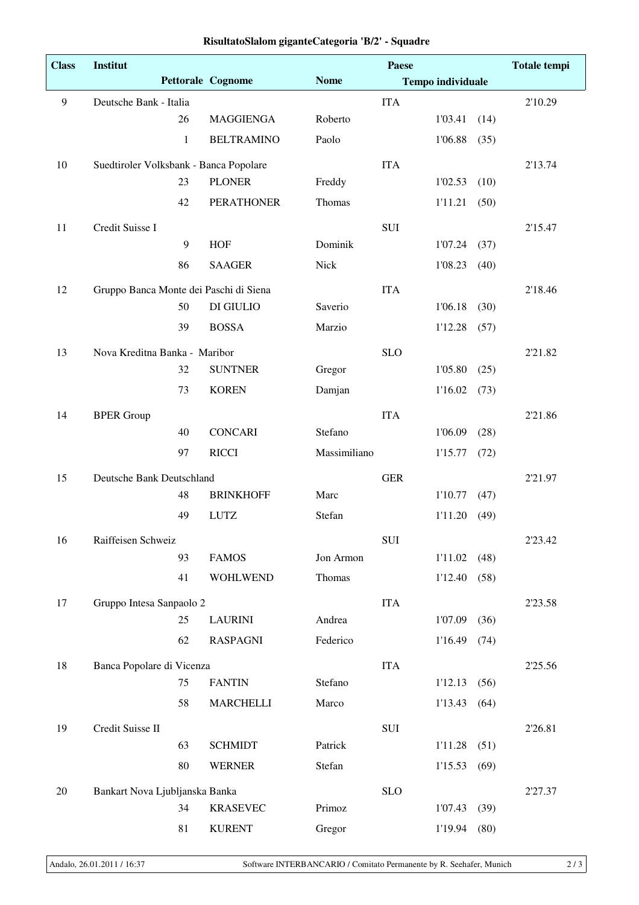| <b>Class</b> | <b>Institut</b>                        |                          | <b>Paese</b> |            |                          | <b>Totale tempi</b> |         |
|--------------|----------------------------------------|--------------------------|--------------|------------|--------------------------|---------------------|---------|
|              |                                        | <b>Pettorale Cognome</b> | <b>Nome</b>  |            | <b>Tempo individuale</b> |                     |         |
| 9            | Deutsche Bank - Italia                 |                          |              | <b>ITA</b> |                          |                     | 2'10.29 |
|              | 26                                     | <b>MAGGIENGA</b>         | Roberto      |            | 1'03.41                  | (14)                |         |
|              | 1                                      | <b>BELTRAMINO</b>        | Paolo        |            | 1'06.88                  | (35)                |         |
| 10           | Suedtiroler Volksbank - Banca Popolare |                          |              | <b>ITA</b> |                          |                     | 2'13.74 |
|              | 23                                     | <b>PLONER</b>            | Freddy       |            | 1'02.53                  | (10)                |         |
|              | 42                                     | <b>PERATHONER</b>        | Thomas       |            | 1'11.21                  | (50)                |         |
| 11           | Credit Suisse I                        |                          |              | SUI        |                          |                     | 2'15.47 |
|              | 9                                      | <b>HOF</b>               | Dominik      |            | 1'07.24                  | (37)                |         |
|              | 86                                     | <b>SAAGER</b>            | Nick         |            | 1'08.23                  | (40)                |         |
| 12           | Gruppo Banca Monte dei Paschi di Siena |                          |              | <b>ITA</b> |                          |                     | 2'18.46 |
|              | 50                                     | DI GIULIO                | Saverio      |            | 1'06.18                  | (30)                |         |
|              | 39                                     | <b>BOSSA</b>             | Marzio       |            | 1'12.28                  | (57)                |         |
| 13           | Nova Kreditna Banka - Maribor          |                          |              | <b>SLO</b> |                          |                     | 2'21.82 |
|              | 32                                     | <b>SUNTNER</b>           | Gregor       |            | 1'05.80                  | (25)                |         |
|              | 73                                     | <b>KOREN</b>             | Damjan       |            | 1'16.02                  | (73)                |         |
| 14           | <b>BPER Group</b>                      |                          |              | <b>ITA</b> |                          |                     | 2'21.86 |
|              | 40                                     | <b>CONCARI</b>           | Stefano      |            | 1'06.09                  | (28)                |         |
|              | 97                                     | <b>RICCI</b>             | Massimiliano |            | 1'15.77                  | (72)                |         |
| 15           | Deutsche Bank Deutschland              |                          |              | <b>GER</b> |                          |                     | 2'21.97 |
|              | 48                                     | <b>BRINKHOFF</b>         | Marc         |            | 1'10.77                  | (47)                |         |
|              | 49                                     | <b>LUTZ</b>              | Stefan       |            | 1'11.20                  | (49)                |         |
| 16           | Raiffeisen Schweiz                     |                          |              | SUI        |                          |                     | 2'23.42 |
|              | 93                                     | <b>FAMOS</b>             | Jon Armon    |            | 1'11.02                  | (48)                |         |
|              | 41                                     | <b>WOHLWEND</b>          | Thomas       |            | 1'12.40                  | (58)                |         |
| 17           | Gruppo Intesa Sanpaolo 2               |                          |              | <b>ITA</b> |                          |                     | 2'23.58 |
|              | 25                                     | <b>LAURINI</b>           | Andrea       |            | 1'07.09                  | (36)                |         |
|              | 62                                     | <b>RASPAGNI</b>          | Federico     |            | 1'16.49                  | (74)                |         |
| 18           | Banca Popolare di Vicenza              |                          |              | <b>ITA</b> |                          |                     | 2'25.56 |
|              | 75                                     | <b>FANTIN</b>            | Stefano      |            | 1'12.13                  | (56)                |         |
|              | 58                                     | <b>MARCHELLI</b>         | Marco        |            | 1'13.43                  | (64)                |         |
| 19           | Credit Suisse II                       |                          |              | SUI        |                          |                     | 2'26.81 |
|              | 63                                     | <b>SCHMIDT</b>           | Patrick      |            | 1'11.28                  | (51)                |         |
|              | 80                                     | <b>WERNER</b>            | Stefan       |            | 1'15.53                  | (69)                |         |
| $20\,$       | Bankart Nova Ljubljanska Banka         |                          |              | <b>SLO</b> |                          |                     | 2'27.37 |
|              | 34                                     | <b>KRASEVEC</b>          | Primoz       |            | 1'07.43                  | (39)                |         |
|              | 81                                     | <b>KURENT</b>            | Gregor       |            | 1'19.94                  | (80)                |         |

## **RisultatoSlalom giganteCategoria 'B/2' - Squadre**